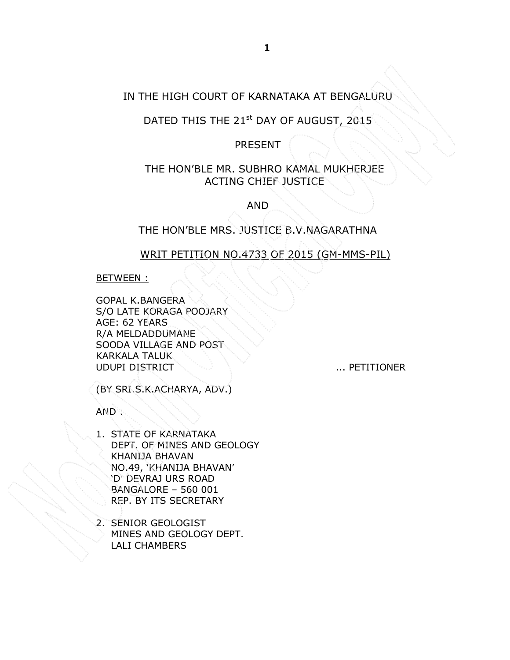## IN THE HIGH COURT OF KARNATAKA AT BENGALURU

# DATED THIS THE 21<sup>st</sup> DAY OF AUGUST, 2015

### PRESENT

## THE HON'BLE MR. SUBHRO KAMAL MUKHERJEE ACTING CHIEF JUSTICE

AND

THE HON'BLE MRS. JUSTICE B.V.NAGARATHNA

### WRIT PETITION NO.4733 OF 2015 (GM-MMS-PIL)

BETWEEN :

GOPAL K.BANGERA S/O LATE KORAGA POOJARY AGE: 62 YEARS R/A MELDADDUMANE SOODA VILLAGE AND POST KARKALA TALUK UDUPI DISTRICT ... PETITIONER

(BY SRI.S.K.ACHARYA, ADV.)

AND :

- 1. STATE OF KARNATAKA DEPT. OF MINES AND GEOLOGY KHANIJA BHAVAN NO.49, 'KHANIJA BHAVAN' 'D' DEVRAJ URS ROAD BANGALORE – 560 001 REP. BY ITS SECRETARY
- 2. SENIOR GEOLOGIST MINES AND GEOLOGY DEPT. LALI CHAMBERS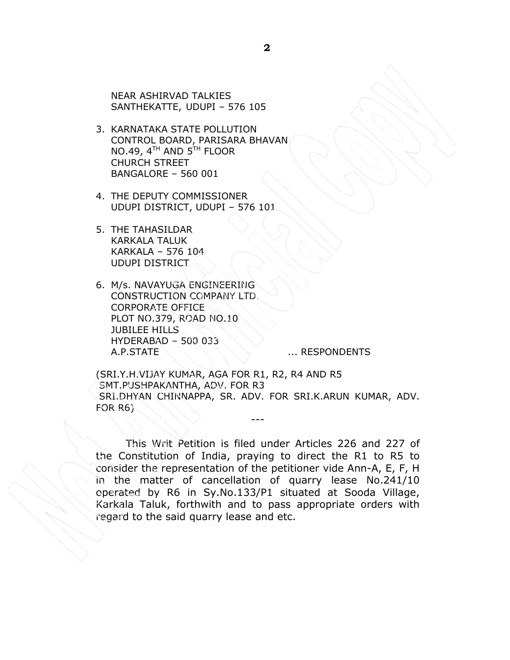NEAR ASHIRVAD TALKIES SANTHEKATTE, UDUPI – 576 105

- 3. KARNATAKA STATE POLLUTION CONTROL BOARD, PARISARA BHAVAN NO.49, 4<sup>TH</sup> AND 5<sup>TH</sup> FLOOR CHURCH STREET BANGALORE – 560 001
- 4. THE DEPUTY COMMISSIONER UDUPI DISTRICT, UDUPI – 576 101
- 5. THE TAHASILDAR KARKALA TALUK KARKALA – 576 104 UDUPI DISTRICT

6. M/s. NAVAYUGA ENGINEERING CONSTRUCTION COMPANY LTD. CORPORATE OFFICE PLOT NO.379, ROAD NO.10 JUBILEE<sup>1</sup>HILLS- HYDERABAD – 500 033 A.P.STATE ... **A.P.STATE** 

(SRI.Y.H.VIJAY KUMAR, AGA FOR R1, R2, R4 AND R5 SMT.PUSHPAKANTHA, ADV. FOR R3 SRI.DHYAN CHINNAPPA, SR. ADV. FOR SRI.K.ARUN KUMAR, ADV. FOR R6)

---

This Writ Petition is filed under Articles 226 and 227 of the Constitution of India, praying to direct the R1 to R5 to consider the representation of the petitioner vide Ann-A, E, F, H in the matter of cancellation of quarry lease No.241/10 operated by R6 in Sy.No.133/P1 situated at Sooda Village, Karkala Taluk, forthwith and to pass appropriate orders with regard to the said quarry lease and etc.